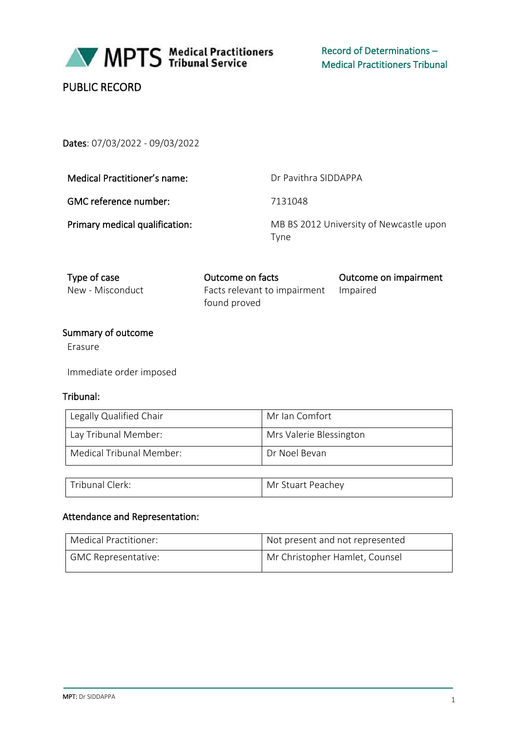

Record of Determinations – Medical Practitioners Tribunal

# PUBLIC RECORD

Dates: 07/03/2022 - 09/03/2022

| Medical Practitioner's name:   | Dr Pavithra SIDDAPPA                            |
|--------------------------------|-------------------------------------------------|
| GMC reference number:          | 7131048                                         |
| Primary medical qualification: | MB BS 2012 University of Newcastle upon<br>Tvne |

| Type of case     | Outcome on facts                      | Outcome on impairment |
|------------------|---------------------------------------|-----------------------|
| New - Misconduct | Facts relevant to impairment Impaired |                       |
|                  | found proved                          |                       |

# Summary of outcome

Erasure

Immediate order imposed

#### Tribunal:

| Legally Qualified Chair  | Mr Ian Comfort          |
|--------------------------|-------------------------|
| Lay Tribunal Member:     | Mrs Valerie Blessington |
| Medical Tribunal Member: | Dr Noel Bevan           |

| Tribunal Clerk: | Mr Stuart Peachey |
|-----------------|-------------------|
|-----------------|-------------------|

# Attendance and Representation:

| Medical Practitioner:      | Not present and not represented |
|----------------------------|---------------------------------|
| <b>GMC Representative:</b> | Mr Christopher Hamlet, Counsel  |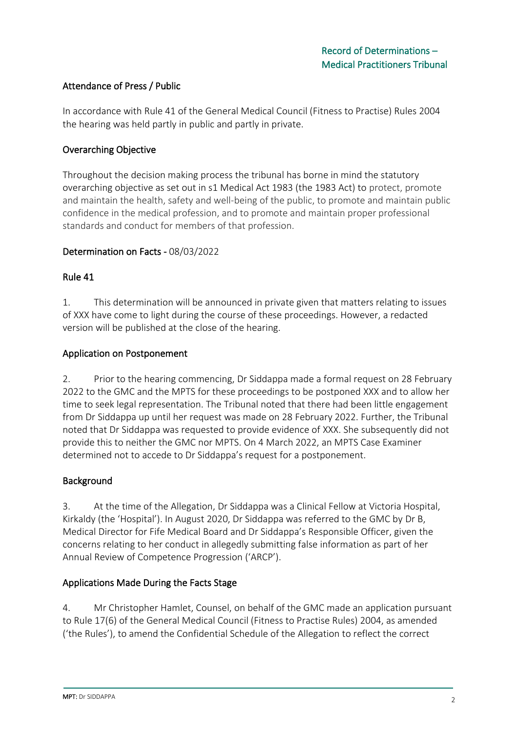# Attendance of Press / Public

In accordance with Rule 41 of the General Medical Council (Fitness to Practise) Rules 2004 the hearing was held partly in public and partly in private.

### Overarching Objective

Throughout the decision making process the tribunal has borne in mind the statutory overarching objective as set out in s1 Medical Act 1983 (the 1983 Act) to protect, promote and maintain the health, safety and well-being of the public, to promote and maintain public confidence in the medical profession, and to promote and maintain proper professional standards and conduct for members of that profession.

### Determination on Facts - 08/03/2022

#### Rule 41

1. This determination will be announced in private given that matters relating to issues of XXX have come to light during the course of these proceedings. However, a redacted version will be published at the close of the hearing.

### Application on Postponement

2. Prior to the hearing commencing, Dr Siddappa made a formal request on 28 February 2022 to the GMC and the MPTS for these proceedings to be postponed XXX and to allow her time to seek legal representation. The Tribunal noted that there had been little engagement from Dr Siddappa up until her request was made on 28 February 2022. Further, the Tribunal noted that Dr Siddappa was requested to provide evidence of XXX. She subsequently did not provide this to neither the GMC nor MPTS. On 4 March 2022, an MPTS Case Examiner determined not to accede to Dr Siddappa's request for a postponement.

### Background

3. At the time of the Allegation, Dr Siddappa was a Clinical Fellow at Victoria Hospital, Kirkaldy (the 'Hospital'). In August 2020, Dr Siddappa was referred to the GMC by Dr B, Medical Director for Fife Medical Board and Dr Siddappa's Responsible Officer, given the concerns relating to her conduct in allegedly submitting false information as part of her Annual Review of Competence Progression ('ARCP').

### Applications Made During the Facts Stage

4. Mr Christopher Hamlet, Counsel, on behalf of the GMC made an application pursuant to Rule 17(6) of the General Medical Council (Fitness to Practise Rules) 2004, as amended ('the Rules'), to amend the Confidential Schedule of the Allegation to reflect the correct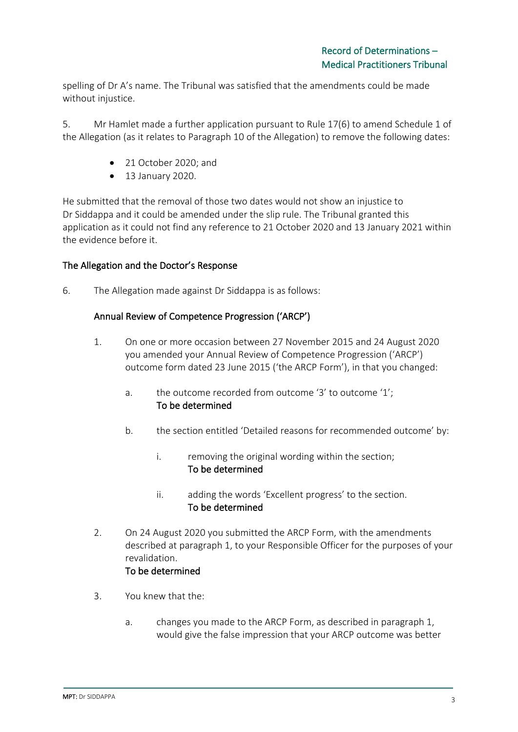spelling of Dr A's name. The Tribunal was satisfied that the amendments could be made without injustice.

5. Mr Hamlet made a further application pursuant to Rule 17(6) to amend Schedule 1 of the Allegation (as it relates to Paragraph 10 of the Allegation) to remove the following dates:

- 21 October 2020; and
- 13 January 2020.

He submitted that the removal of those two dates would not show an injustice to Dr Siddappa and it could be amended under the slip rule. The Tribunal granted this application as it could not find any reference to 21 October 2020 and 13 January 2021 within the evidence before it.

### The Allegation and the Doctor's Response

6. The Allegation made against Dr Siddappa is as follows:

#### Annual Review of Competence Progression ('ARCP')

- 1. On one or more occasion between 27 November 2015 and 24 August 2020 you amended your Annual Review of Competence Progression ('ARCP') outcome form dated 23 June 2015 ('the ARCP Form'), in that you changed:
	- a. the outcome recorded from outcome '3' to outcome '1'; To be determined
	- b. the section entitled 'Detailed reasons for recommended outcome' by:
		- i. removing the original wording within the section; To be determined
		- ii. adding the words 'Excellent progress' to the section. To be determined
- 2. On 24 August 2020 you submitted the ARCP Form, with the amendments described at paragraph 1, to your Responsible Officer for the purposes of your revalidation. To be determined

- 3. You knew that the:
	- a. changes you made to the ARCP Form, as described in paragraph 1, would give the false impression that your ARCP outcome was better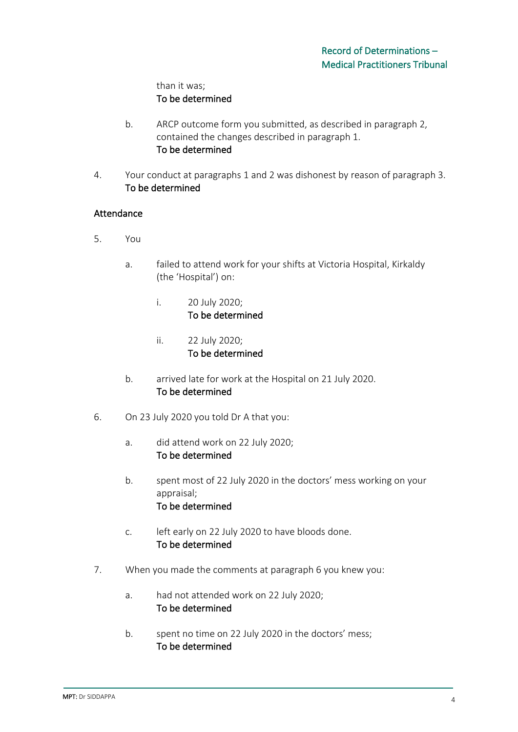# than it was; To be determined

- b. ARCP outcome form you submitted, as described in paragraph 2, contained the changes described in paragraph 1. To be determined
- 4. Your conduct at paragraphs 1 and 2 was dishonest by reason of paragraph 3. To be determined

# Attendance

- 5. You
	- a. failed to attend work for your shifts at Victoria Hospital, Kirkaldy (the 'Hospital') on:
		- i. 20 July 2020; To be determined
		- ii. 22 July 2020; To be determined
	- b. arrived late for work at the Hospital on 21 July 2020. To be determined
- 6. On 23 July 2020 you told Dr A that you:
	- a. did attend work on 22 July 2020; To be determined
	- b. spent most of 22 July 2020 in the doctors' mess working on your appraisal; To be determined
	- c. left early on 22 July 2020 to have bloods done. To be determined
- 7. When you made the comments at paragraph 6 you knew you:
	- a. had not attended work on 22 July 2020; To be determined
	- b. spent no time on 22 July 2020 in the doctors' mess; To be determined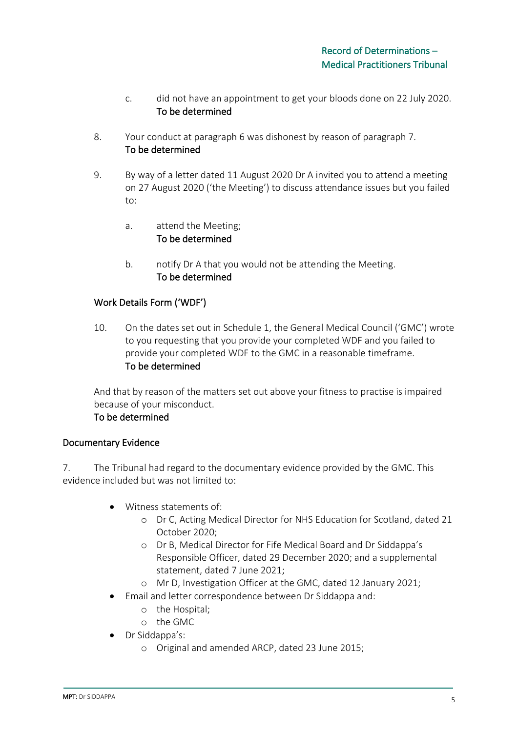- c. did not have an appointment to get your bloods done on 22 July 2020. To be determined
- 8. Your conduct at paragraph 6 was dishonest by reason of paragraph 7. To be determined
- 9. By way of a letter dated 11 August 2020 Dr A invited you to attend a meeting on 27 August 2020 ('the Meeting') to discuss attendance issues but you failed to:
	- a. attend the Meeting; To be determined
	- b. notify Dr A that you would not be attending the Meeting. To be determined

# Work Details Form ('WDF')

10. On the dates set out in Schedule 1, the General Medical Council ('GMC') wrote to you requesting that you provide your completed WDF and you failed to provide your completed WDF to the GMC in a reasonable timeframe. To be determined

And that by reason of the matters set out above your fitness to practise is impaired because of your misconduct.

## To be determined

### Documentary Evidence

7. The Tribunal had regard to the documentary evidence provided by the GMC. This evidence included but was not limited to:

- Witness statements of:
	- o Dr C, Acting Medical Director for NHS Education for Scotland, dated 21 October 2020;
	- o Dr B, Medical Director for Fife Medical Board and Dr Siddappa's Responsible Officer, dated 29 December 2020; and a supplemental statement, dated 7 June 2021;
	- o Mr D, Investigation Officer at the GMC, dated 12 January 2021;
- Email and letter correspondence between Dr Siddappa and:
	- o the Hospital;
	- o the GMC
- Dr Siddappa's:
	- o Original and amended ARCP, dated 23 June 2015;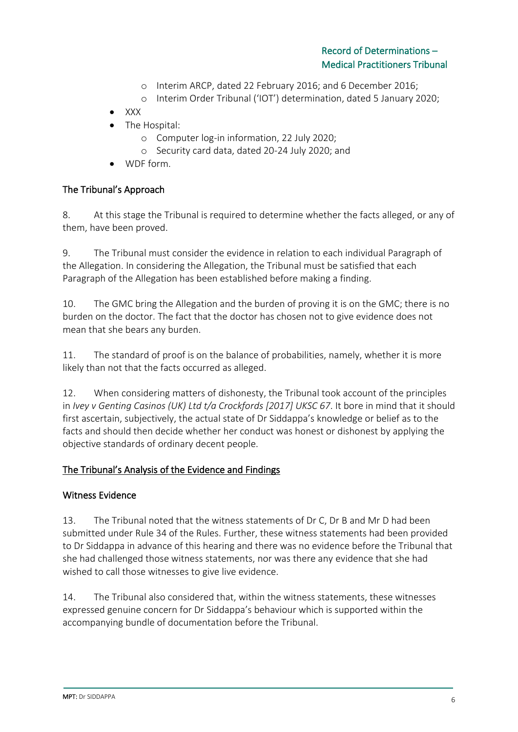- o Interim ARCP, dated 22 February 2016; and 6 December 2016;
- o Interim Order Tribunal ('IOT') determination, dated 5 January 2020;
- XXX
- The Hospital:
	- o Computer log-in information, 22 July 2020;
	- o Security card data, dated 20-24 July 2020; and
- WDF form.

# The Tribunal's Approach

8. At this stage the Tribunal is required to determine whether the facts alleged, or any of them, have been proved.

9. The Tribunal must consider the evidence in relation to each individual Paragraph of the Allegation. In considering the Allegation, the Tribunal must be satisfied that each Paragraph of the Allegation has been established before making a finding.

10. The GMC bring the Allegation and the burden of proving it is on the GMC; there is no burden on the doctor. The fact that the doctor has chosen not to give evidence does not mean that she bears any burden.

11. The standard of proof is on the balance of probabilities, namely, whether it is more likely than not that the facts occurred as alleged.

12. When considering matters of dishonesty, the Tribunal took account of the principles in *Ivey v Genting Casinos (UK) Ltd t/a Crockfords [2017] UKSC 67*. It bore in mind that it should first ascertain, subjectively, the actual state of Dr Siddappa's knowledge or belief as to the facts and should then decide whether her conduct was honest or dishonest by applying the objective standards of ordinary decent people.

### The Tribunal's Analysis of the Evidence and Findings

### Witness Evidence

13. The Tribunal noted that the witness statements of Dr C, Dr B and Mr D had been submitted under Rule 34 of the Rules. Further, these witness statements had been provided to Dr Siddappa in advance of this hearing and there was no evidence before the Tribunal that she had challenged those witness statements, nor was there any evidence that she had wished to call those witnesses to give live evidence.

14. The Tribunal also considered that, within the witness statements, these witnesses expressed genuine concern for Dr Siddappa's behaviour which is supported within the accompanying bundle of documentation before the Tribunal.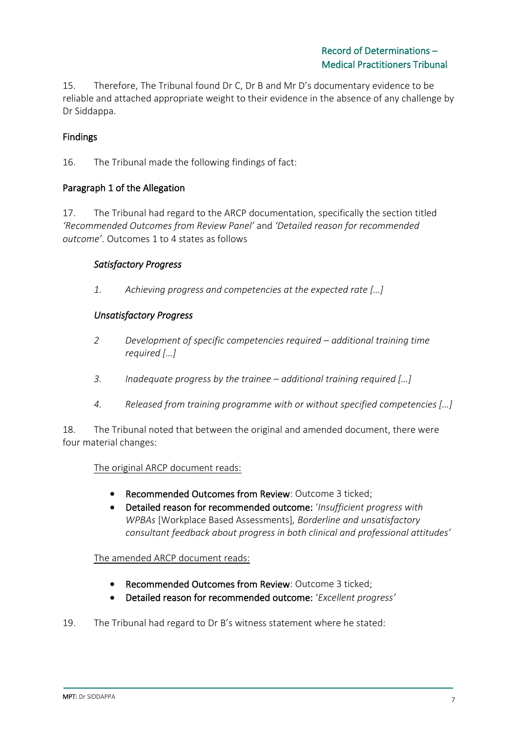15. Therefore, The Tribunal found Dr C, Dr B and Mr D's documentary evidence to be reliable and attached appropriate weight to their evidence in the absence of any challenge by Dr Siddappa.

# Findings

16. The Tribunal made the following findings of fact:

### Paragraph 1 of the Allegation

17. The Tribunal had regard to the ARCP documentation, specifically the section titled *'Recommended Outcomes from Review Panel'* and *'Detailed reason for recommended outcome'*. Outcomes 1 to 4 states as follows

### *Satisfactory Progress*

*1. Achieving progress and competencies at the expected rate […]*

# *Unsatisfactory Progress*

- *2 Development of specific competencies required – additional training time required […]*
- *3. Inadequate progress by the trainee – additional training required […]*
- *4. Released from training programme with or without specified competencies […]*

18. The Tribunal noted that between the original and amended document, there were four material changes:

### The original ARCP document reads:

- Recommended Outcomes from Review: Outcome 3 ticked;
- Detailed reason for recommended outcome: '*Insufficient progress with WPBAs* [Workplace Based Assessments]*, Borderline and unsatisfactory consultant feedback about progress in both clinical and professional attitudes'*

### The amended ARCP document reads:

- Recommended Outcomes from Review: Outcome 3 ticked;
- Detailed reason for recommended outcome: '*Excellent progress'*
- 19. The Tribunal had regard to Dr B's witness statement where he stated: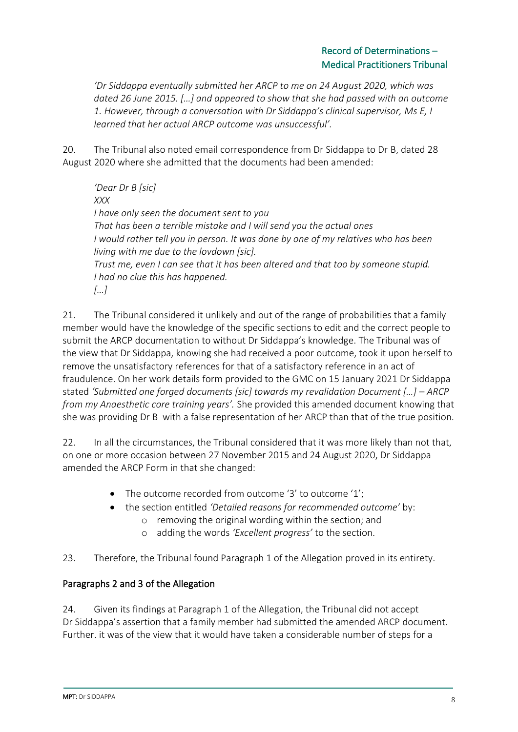# Record of Determinations – Medical Practitioners Tribunal

*'Dr Siddappa eventually submitted her ARCP to me on 24 August 2020, which was dated 26 June 2015. […] and appeared to show that she had passed with an outcome 1. However, through a conversation with Dr Siddappa's clinical supervisor, Ms E, I learned that her actual ARCP outcome was unsuccessful'.*

20. The Tribunal also noted email correspondence from Dr Siddappa to Dr B, dated 28 August 2020 where she admitted that the documents had been amended:

*'Dear Dr B [sic] XXX I have only seen the document sent to you That has been a terrible mistake and I will send you the actual ones I would rather tell you in person. It was done by one of my relatives who has been living with me due to the lovdown [sic]. Trust me, even I can see that it has been altered and that too by someone stupid. I had no clue this has happened. […]*

21. The Tribunal considered it unlikely and out of the range of probabilities that a family member would have the knowledge of the specific sections to edit and the correct people to submit the ARCP documentation to without Dr Siddappa's knowledge. The Tribunal was of the view that Dr Siddappa, knowing she had received a poor outcome, took it upon herself to remove the unsatisfactory references for that of a satisfactory reference in an act of fraudulence. On her work details form provided to the GMC on 15 January 2021 Dr Siddappa stated *'Submitted one forged documents [sic] towards my revalidation Document […] – ARCP from my Anaesthetic core training years'.* She provided this amended document knowing that she was providing Dr B with a false representation of her ARCP than that of the true position.

22. In all the circumstances, the Tribunal considered that it was more likely than not that, on one or more occasion between 27 November 2015 and 24 August 2020, Dr Siddappa amended the ARCP Form in that she changed:

- The outcome recorded from outcome '3' to outcome '1';
- the section entitled *'Detailed reasons for recommended outcome'* by:
	- o removing the original wording within the section; and
	- o adding the words *'Excellent progress'* to the section.

# 23. Therefore, the Tribunal found Paragraph 1 of the Allegation proved in its entirety.

# Paragraphs 2 and 3 of the Allegation

24. Given its findings at Paragraph 1 of the Allegation, the Tribunal did not accept Dr Siddappa's assertion that a family member had submitted the amended ARCP document. Further. it was of the view that it would have taken a considerable number of steps for a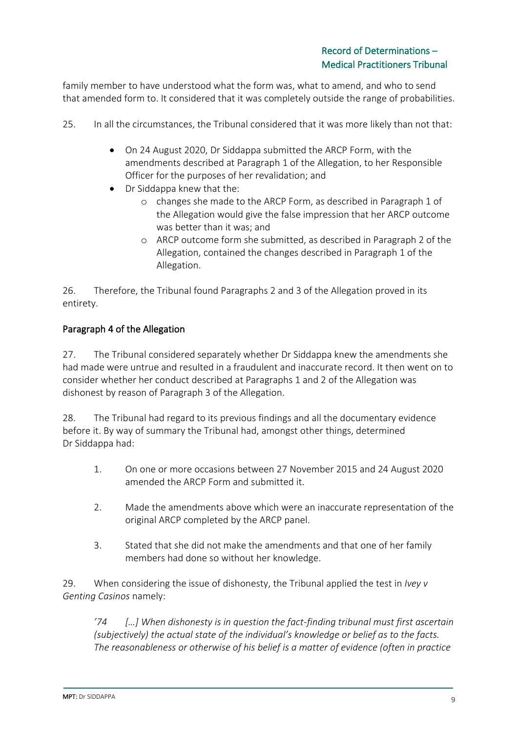family member to have understood what the form was, what to amend, and who to send that amended form to. It considered that it was completely outside the range of probabilities.

- 25. In all the circumstances, the Tribunal considered that it was more likely than not that:
	- On 24 August 2020, Dr Siddappa submitted the ARCP Form, with the amendments described at Paragraph 1 of the Allegation, to her Responsible Officer for the purposes of her revalidation; and
	- Dr Siddappa knew that the:
		- o changes she made to the ARCP Form, as described in Paragraph 1 of the Allegation would give the false impression that her ARCP outcome was better than it was; and
		- o ARCP outcome form she submitted, as described in Paragraph 2 of the Allegation, contained the changes described in Paragraph 1 of the Allegation.

26. Therefore, the Tribunal found Paragraphs 2 and 3 of the Allegation proved in its entirety.

# Paragraph 4 of the Allegation

27. The Tribunal considered separately whether Dr Siddappa knew the amendments she had made were untrue and resulted in a fraudulent and inaccurate record. It then went on to consider whether her conduct described at Paragraphs 1 and 2 of the Allegation was dishonest by reason of Paragraph 3 of the Allegation.

28. The Tribunal had regard to its previous findings and all the documentary evidence before it. By way of summary the Tribunal had, amongst other things, determined Dr Siddappa had:

- 1. On one or more occasions between 27 November 2015 and 24 August 2020 amended the ARCP Form and submitted it.
- 2. Made the amendments above which were an inaccurate representation of the original ARCP completed by the ARCP panel.
- 3. Stated that she did not make the amendments and that one of her family members had done so without her knowledge.

29. When considering the issue of dishonesty, the Tribunal applied the test in *Ivey v Genting Casinos* namely:

*'74 […] When dishonesty is in question the fact-finding tribunal must first ascertain (subjectively) the actual state of the individual's knowledge or belief as to the facts. The reasonableness or otherwise of his belief is a matter of evidence (often in practice*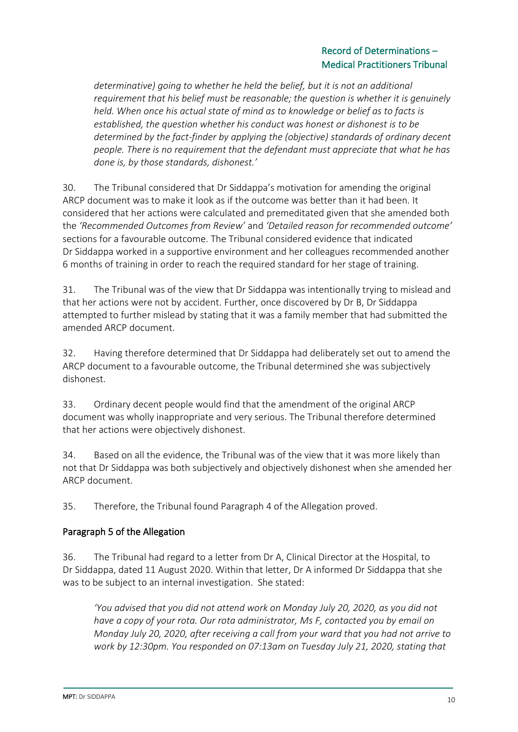# Record of Determinations – Medical Practitioners Tribunal

*determinative) going to whether he held the belief, but it is not an additional requirement that his belief must be reasonable; the question is whether it is genuinely held. When once his actual state of mind as to knowledge or belief as to facts is established, the question whether his conduct was honest or dishonest is to be determined by the fact-finder by applying the (objective) standards of ordinary decent people. There is no requirement that the defendant must appreciate that what he has done is, by those standards, dishonest.'*

30. The Tribunal considered that Dr Siddappa's motivation for amending the original ARCP document was to make it look as if the outcome was better than it had been. It considered that her actions were calculated and premeditated given that she amended both the *'Recommended Outcomes from Review'* and *'Detailed reason for recommended outcome'* sections for a favourable outcome. The Tribunal considered evidence that indicated Dr Siddappa worked in a supportive environment and her colleagues recommended another 6 months of training in order to reach the required standard for her stage of training.

31. The Tribunal was of the view that Dr Siddappa was intentionally trying to mislead and that her actions were not by accident. Further, once discovered by Dr B, Dr Siddappa attempted to further mislead by stating that it was a family member that had submitted the amended ARCP document.

32. Having therefore determined that Dr Siddappa had deliberately set out to amend the ARCP document to a favourable outcome, the Tribunal determined she was subjectively dishonest.

33. Ordinary decent people would find that the amendment of the original ARCP document was wholly inappropriate and very serious. The Tribunal therefore determined that her actions were objectively dishonest.

34. Based on all the evidence, the Tribunal was of the view that it was more likely than not that Dr Siddappa was both subjectively and objectively dishonest when she amended her ARCP document.

35. Therefore, the Tribunal found Paragraph 4 of the Allegation proved.

# Paragraph 5 of the Allegation

36. The Tribunal had regard to a letter from Dr A, Clinical Director at the Hospital, to Dr Siddappa, dated 11 August 2020. Within that letter, Dr A informed Dr Siddappa that she was to be subject to an internal investigation. She stated:

*'You advised that you did not attend work on Monday July 20, 2020, as you did not have a copy of your rota. Our rota administrator, Ms F, contacted you by email on Monday July 20, 2020, after receiving a call from your ward that you had not arrive to work by 12:30pm. You responded on 07:13am on Tuesday July 21, 2020, stating that*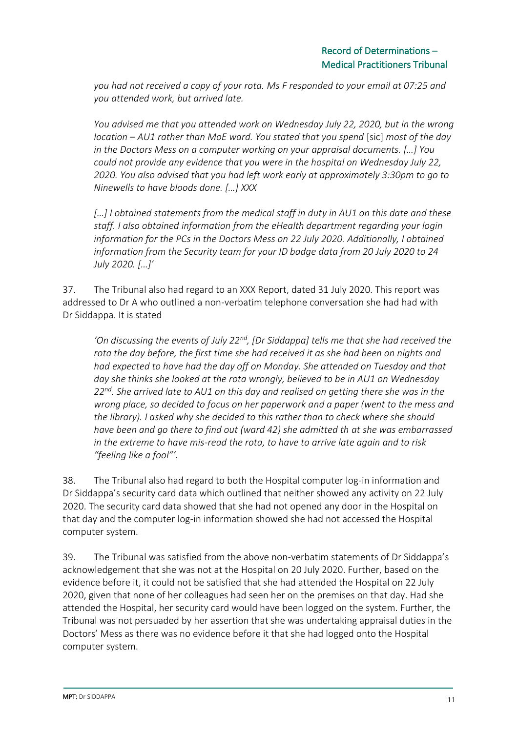*you had not received a copy of your rota. Ms F responded to your email at 07:25 and you attended work, but arrived late.*

*You advised me that you attended work on Wednesday July 22, 2020, but in the wrong location – AU1 rather than MoE ward. You stated that you spend* [sic] *most of the day in the Doctors Mess on a computer working on your appraisal documents. […] You could not provide any evidence that you were in the hospital on Wednesday July 22, 2020. You also advised that you had left work early at approximately 3:30pm to go to Ninewells to have bloods done. […] XXX*

*[…] I obtained statements from the medical staff in duty in AU1 on this date and these staff. I also obtained information from the eHealth department regarding your login information for the PCs in the Doctors Mess on 22 July 2020. Additionally, I obtained information from the Security team for your ID badge data from 20 July 2020 to 24 July 2020. […]'*

37. The Tribunal also had regard to an XXX Report, dated 31 July 2020. This report was addressed to Dr A who outlined a non-verbatim telephone conversation she had had with Dr Siddappa. It is stated

*'On discussing the events of July 22nd, [Dr Siddappa] tells me that she had received the rota the day before, the first time she had received it as she had been on nights and had expected to have had the day off on Monday. She attended on Tuesday and that day she thinks she looked at the rota wrongly, believed to be in AU1 on Wednesday 22nd. She arrived late to AU1 on this day and realised on getting there she was in the wrong place, so decided to focus on her paperwork and a paper (went to the mess and the library). I asked why she decided to this rather than to check where she should have been and go there to find out (ward 42) she admitted th at she was embarrassed in the extreme to have mis-read the rota, to have to arrive late again and to risk "feeling like a fool"'.*

38. The Tribunal also had regard to both the Hospital computer log-in information and Dr Siddappa's security card data which outlined that neither showed any activity on 22 July 2020. The security card data showed that she had not opened any door in the Hospital on that day and the computer log-in information showed she had not accessed the Hospital computer system.

39. The Tribunal was satisfied from the above non-verbatim statements of Dr Siddappa's acknowledgement that she was not at the Hospital on 20 July 2020. Further, based on the evidence before it, it could not be satisfied that she had attended the Hospital on 22 July 2020, given that none of her colleagues had seen her on the premises on that day. Had she attended the Hospital, her security card would have been logged on the system. Further, the Tribunal was not persuaded by her assertion that she was undertaking appraisal duties in the Doctors' Mess as there was no evidence before it that she had logged onto the Hospital computer system.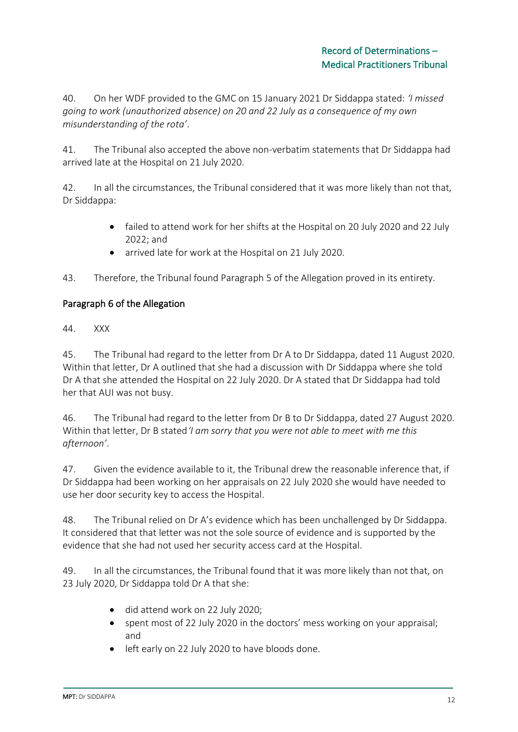40. On her WDF provided to the GMC on 15 January 2021 Dr Siddappa stated: *'I missed going to work (unauthorized absence) on 20 and 22 July as a consequence of my own misunderstanding of the rota'*.

41. The Tribunal also accepted the above non-verbatim statements that Dr Siddappa had arrived late at the Hospital on 21 July 2020.

42. In all the circumstances, the Tribunal considered that it was more likely than not that, Dr Siddappa:

- failed to attend work for her shifts at the Hospital on 20 July 2020 and 22 July 2022; and
- arrived late for work at the Hospital on 21 July 2020.

43. Therefore, the Tribunal found Paragraph 5 of the Allegation proved in its entirety.

# Paragraph 6 of the Allegation

44. XXX

45. The Tribunal had regard to the letter from Dr A to Dr Siddappa, dated 11 August 2020. Within that letter, Dr A outlined that she had a discussion with Dr Siddappa where she told Dr A that she attended the Hospital on 22 July 2020. Dr A stated that Dr Siddappa had told her that AUI was not busy.

46. The Tribunal had regard to the letter from Dr B to Dr Siddappa, dated 27 August 2020. Within that letter, Dr B stated*'I am sorry that you were not able to meet with me this afternoon'*.

47. Given the evidence available to it, the Tribunal drew the reasonable inference that, if Dr Siddappa had been working on her appraisals on 22 July 2020 she would have needed to use her door security key to access the Hospital.

48. The Tribunal relied on Dr A's evidence which has been unchallenged by Dr Siddappa. It considered that that letter was not the sole source of evidence and is supported by the evidence that she had not used her security access card at the Hospital.

49. In all the circumstances, the Tribunal found that it was more likely than not that, on 23 July 2020, Dr Siddappa told Dr A that she:

- did attend work on 22 July 2020;
- spent most of 22 July 2020 in the doctors' mess working on your appraisal; and
- left early on 22 July 2020 to have bloods done.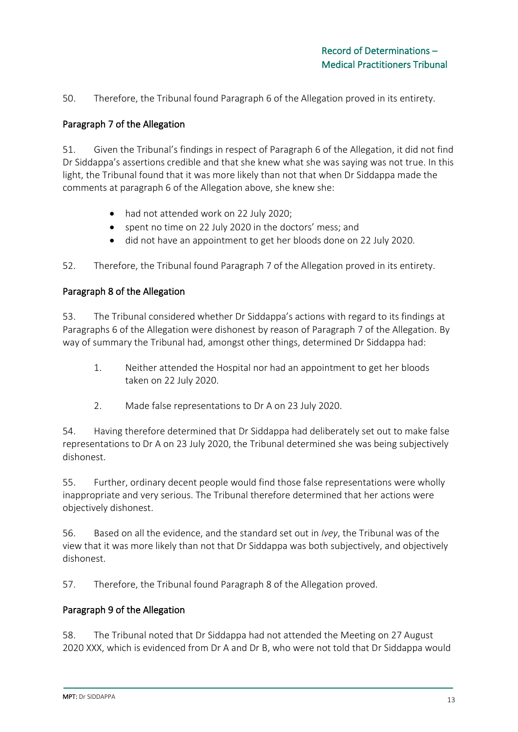50. Therefore, the Tribunal found Paragraph 6 of the Allegation proved in its entirety.

## Paragraph 7 of the Allegation

51. Given the Tribunal's findings in respect of Paragraph 6 of the Allegation, it did not find Dr Siddappa's assertions credible and that she knew what she was saying was not true. In this light, the Tribunal found that it was more likely than not that when Dr Siddappa made the comments at paragraph 6 of the Allegation above, she knew she:

- had not attended work on 22 July 2020;
- spent no time on 22 July 2020 in the doctors' mess; and
- did not have an appointment to get her bloods done on 22 July 2020.

52. Therefore, the Tribunal found Paragraph 7 of the Allegation proved in its entirety.

### Paragraph 8 of the Allegation

53. The Tribunal considered whether Dr Siddappa's actions with regard to its findings at Paragraphs 6 of the Allegation were dishonest by reason of Paragraph 7 of the Allegation. By way of summary the Tribunal had, amongst other things, determined Dr Siddappa had:

- 1. Neither attended the Hospital nor had an appointment to get her bloods taken on 22 July 2020.
- 2. Made false representations to Dr A on 23 July 2020.

54. Having therefore determined that Dr Siddappa had deliberately set out to make false representations to Dr A on 23 July 2020, the Tribunal determined she was being subjectively dishonest.

55. Further, ordinary decent people would find those false representations were wholly inappropriate and very serious. The Tribunal therefore determined that her actions were objectively dishonest.

56. Based on all the evidence, and the standard set out in *Ivey*, the Tribunal was of the view that it was more likely than not that Dr Siddappa was both subjectively, and objectively dishonest.

57. Therefore, the Tribunal found Paragraph 8 of the Allegation proved.

### Paragraph 9 of the Allegation

58. The Tribunal noted that Dr Siddappa had not attended the Meeting on 27 August 2020 XXX, which is evidenced from Dr A and Dr B, who were not told that Dr Siddappa would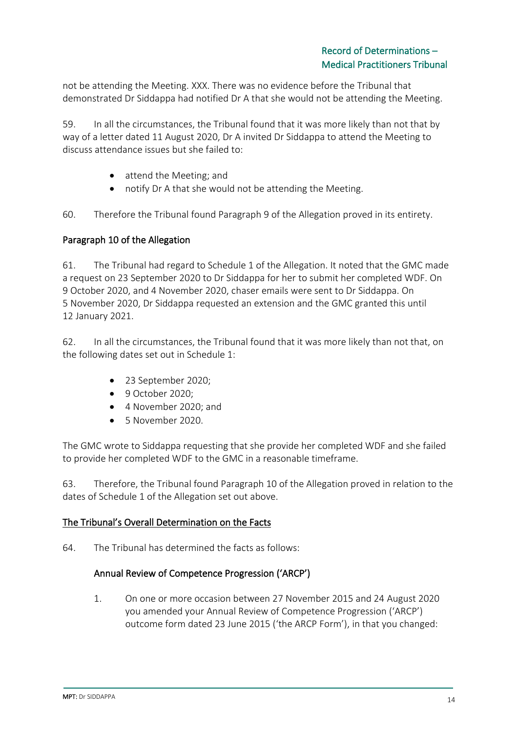not be attending the Meeting. XXX. There was no evidence before the Tribunal that demonstrated Dr Siddappa had notified Dr A that she would not be attending the Meeting.

59. In all the circumstances, the Tribunal found that it was more likely than not that by way of a letter dated 11 August 2020, Dr A invited Dr Siddappa to attend the Meeting to discuss attendance issues but she failed to:

- attend the Meeting; and
- notify Dr A that she would not be attending the Meeting.

60. Therefore the Tribunal found Paragraph 9 of the Allegation proved in its entirety.

### Paragraph 10 of the Allegation

61. The Tribunal had regard to Schedule 1 of the Allegation. It noted that the GMC made a request on 23 September 2020 to Dr Siddappa for her to submit her completed WDF. On 9 October 2020, and 4 November 2020, chaser emails were sent to Dr Siddappa. On 5 November 2020, Dr Siddappa requested an extension and the GMC granted this until 12 January 2021.

62. In all the circumstances, the Tribunal found that it was more likely than not that, on the following dates set out in Schedule 1:

- 23 September 2020;
- 9 October 2020;
- 4 November 2020; and
- 5 November 2020.

The GMC wrote to Siddappa requesting that she provide her completed WDF and she failed to provide her completed WDF to the GMC in a reasonable timeframe.

63. Therefore, the Tribunal found Paragraph 10 of the Allegation proved in relation to the dates of Schedule 1 of the Allegation set out above.

### The Tribunal's Overall Determination on the Facts

64. The Tribunal has determined the facts as follows:

### Annual Review of Competence Progression ('ARCP')

1. On one or more occasion between 27 November 2015 and 24 August 2020 you amended your Annual Review of Competence Progression ('ARCP') outcome form dated 23 June 2015 ('the ARCP Form'), in that you changed: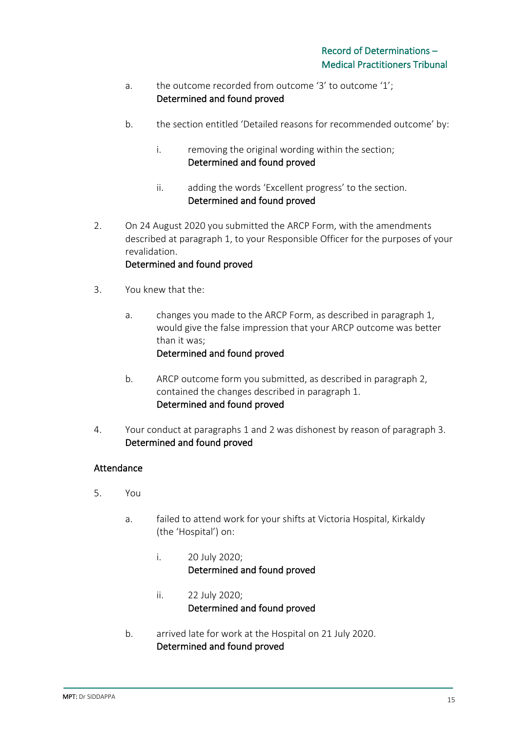- a. the outcome recorded from outcome '3' to outcome '1'; Determined and found proved
- b. the section entitled 'Detailed reasons for recommended outcome' by:
	- i. removing the original wording within the section; Determined and found proved
	- ii. adding the words 'Excellent progress' to the section. Determined and found proved
- 2. On 24 August 2020 you submitted the ARCP Form, with the amendments described at paragraph 1, to your Responsible Officer for the purposes of your revalidation.

### Determined and found proved

- 3. You knew that the:
	- a. changes you made to the ARCP Form, as described in paragraph 1, would give the false impression that your ARCP outcome was better than it was; Determined and found proved
	- b. ARCP outcome form you submitted, as described in paragraph 2, contained the changes described in paragraph 1. Determined and found proved
- 4. Your conduct at paragraphs 1 and 2 was dishonest by reason of paragraph 3. Determined and found proved

### Attendance

- 5. You
	- a. failed to attend work for your shifts at Victoria Hospital, Kirkaldy (the 'Hospital') on:
		- i. 20 July 2020; Determined and found proved
		- ii. 22 July 2020; Determined and found proved
	- b. arrived late for work at the Hospital on 21 July 2020. Determined and found proved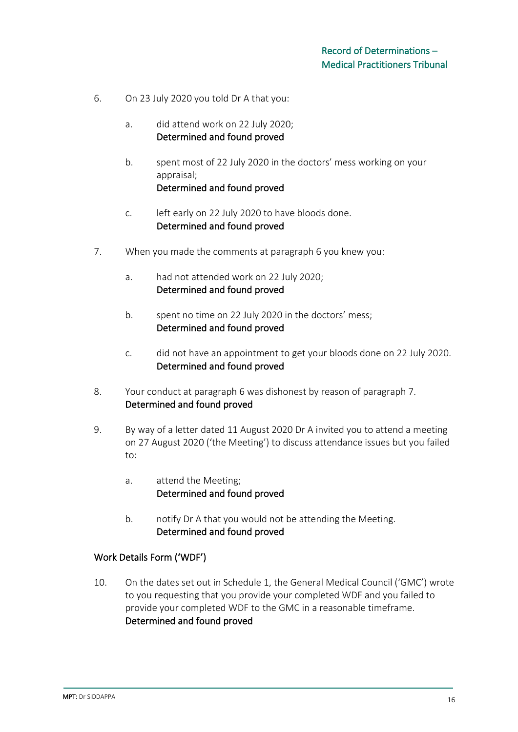- 6. On 23 July 2020 you told Dr A that you:
	- a. did attend work on 22 July 2020; Determined and found proved
	- b. spent most of 22 July 2020 in the doctors' mess working on your appraisal; Determined and found proved
	- c. left early on 22 July 2020 to have bloods done. Determined and found proved
- 7. When you made the comments at paragraph 6 you knew you:
	- a. had not attended work on 22 July 2020; Determined and found proved
	- b. spent no time on 22 July 2020 in the doctors' mess; Determined and found proved
	- c. did not have an appointment to get your bloods done on 22 July 2020. Determined and found proved
- 8. Your conduct at paragraph 6 was dishonest by reason of paragraph 7. Determined and found proved
- 9. By way of a letter dated 11 August 2020 Dr A invited you to attend a meeting on 27 August 2020 ('the Meeting') to discuss attendance issues but you failed to:
	- a. attend the Meeting; Determined and found proved
	- b. notify Dr A that you would not be attending the Meeting. Determined and found proved

### Work Details Form ('WDF')

10. On the dates set out in Schedule 1, the General Medical Council ('GMC') wrote to you requesting that you provide your completed WDF and you failed to provide your completed WDF to the GMC in a reasonable timeframe. Determined and found proved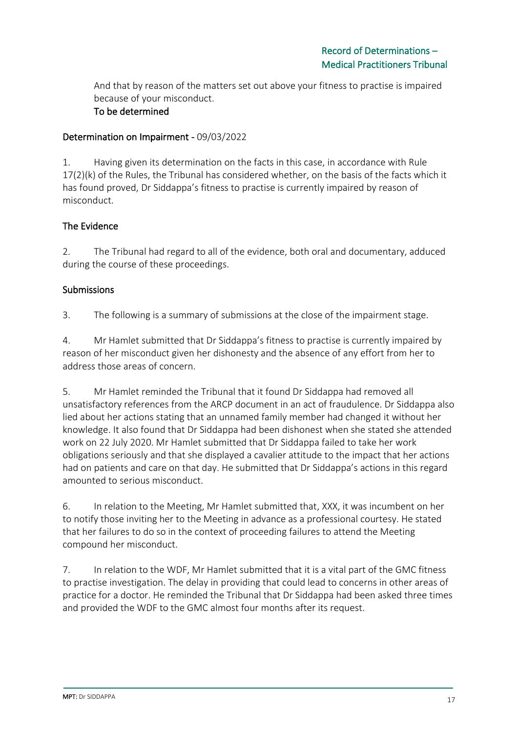And that by reason of the matters set out above your fitness to practise is impaired because of your misconduct.

# To be determined

### Determination on Impairment - 09/03/2022

1. Having given its determination on the facts in this case, in accordance with Rule 17(2)(k) of the Rules, the Tribunal has considered whether, on the basis of the facts which it has found proved, Dr Siddappa's fitness to practise is currently impaired by reason of misconduct.

# The Evidence

2. The Tribunal had regard to all of the evidence, both oral and documentary, adduced during the course of these proceedings.

# Submissions

3. The following is a summary of submissions at the close of the impairment stage.

4. Mr Hamlet submitted that Dr Siddappa's fitness to practise is currently impaired by reason of her misconduct given her dishonesty and the absence of any effort from her to address those areas of concern.

5. Mr Hamlet reminded the Tribunal that it found Dr Siddappa had removed all unsatisfactory references from the ARCP document in an act of fraudulence. Dr Siddappa also lied about her actions stating that an unnamed family member had changed it without her knowledge. It also found that Dr Siddappa had been dishonest when she stated she attended work on 22 July 2020. Mr Hamlet submitted that Dr Siddappa failed to take her work obligations seriously and that she displayed a cavalier attitude to the impact that her actions had on patients and care on that day. He submitted that Dr Siddappa's actions in this regard amounted to serious misconduct.

6. In relation to the Meeting, Mr Hamlet submitted that, XXX, it was incumbent on her to notify those inviting her to the Meeting in advance as a professional courtesy. He stated that her failures to do so in the context of proceeding failures to attend the Meeting compound her misconduct.

7. In relation to the WDF, Mr Hamlet submitted that it is a vital part of the GMC fitness to practise investigation. The delay in providing that could lead to concerns in other areas of practice for a doctor. He reminded the Tribunal that Dr Siddappa had been asked three times and provided the WDF to the GMC almost four months after its request.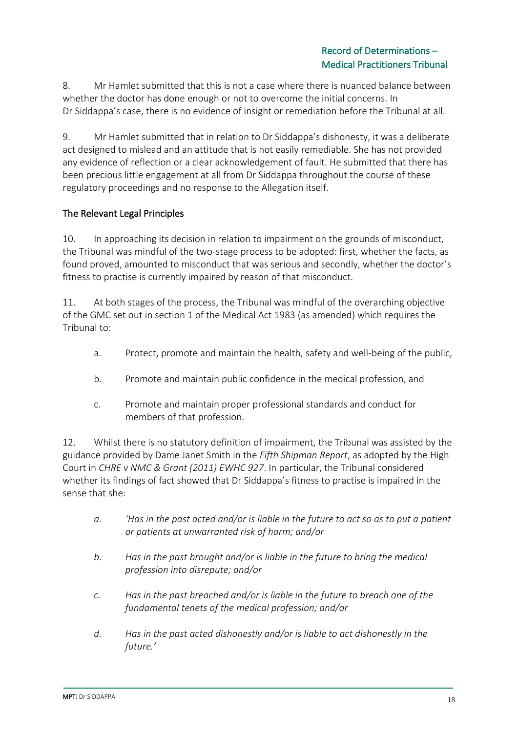8. Mr Hamlet submitted that this is not a case where there is nuanced balance between whether the doctor has done enough or not to overcome the initial concerns. In Dr Siddappa's case, there is no evidence of insight or remediation before the Tribunal at all.

9. Mr Hamlet submitted that in relation to Dr Siddappa's dishonesty, it was a deliberate act designed to mislead and an attitude that is not easily remediable. She has not provided any evidence of reflection or a clear acknowledgement of fault. He submitted that there has been precious little engagement at all from Dr Siddappa throughout the course of these regulatory proceedings and no response to the Allegation itself.

# The Relevant Legal Principles

10. In approaching its decision in relation to impairment on the grounds of misconduct, the Tribunal was mindful of the two-stage process to be adopted: first, whether the facts, as found proved, amounted to misconduct that was serious and secondly, whether the doctor's fitness to practise is currently impaired by reason of that misconduct.

11. At both stages of the process, the Tribunal was mindful of the overarching objective of the GMC set out in section 1 of the Medical Act 1983 (as amended) which requires the Tribunal to:

- a. Protect, promote and maintain the health, safety and well-being of the public,
- b. Promote and maintain public confidence in the medical profession, and
- c. Promote and maintain proper professional standards and conduct for members of that profession.

12. Whilst there is no statutory definition of impairment, the Tribunal was assisted by the guidance provided by Dame Janet Smith in the *Fifth Shipman Report*, as adopted by the High Court in *CHRE v NMC & Grant (2011) EWHC 927*. In particular, the Tribunal considered whether its findings of fact showed that Dr Siddappa's fitness to practise is impaired in the sense that she:

- *a. 'Has in the past acted and/or is liable in the future to act so as to put a patient or patients at unwarranted risk of harm; and/or*
- *b. Has in the past brought and/or is liable in the future to bring the medical profession into disrepute; and/or*
- *c. Has in the past breached and/or is liable in the future to breach one of the fundamental tenets of the medical profession; and/or*
- *d. Has in the past acted dishonestly and/or is liable to act dishonestly in the future.'*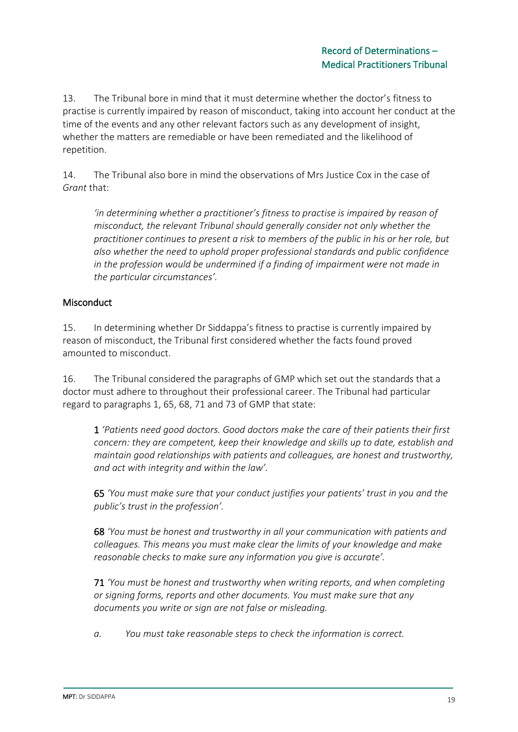13. The Tribunal bore in mind that it must determine whether the doctor's fitness to practise is currently impaired by reason of misconduct, taking into account her conduct at the time of the events and any other relevant factors such as any development of insight, whether the matters are remediable or have been remediated and the likelihood of repetition.

14. The Tribunal also bore in mind the observations of Mrs Justice Cox in the case of *Grant* that:

*'in determining whether a practitioner's fitness to practise is impaired by reason of misconduct, the relevant Tribunal should generally consider not only whether the practitioner continues to present a risk to members of the public in his or her role, but also whether the need to uphold proper professional standards and public confidence in the profession would be undermined if a finding of impairment were not made in the particular circumstances'.*

# **Misconduct**

15. In determining whether Dr Siddappa's fitness to practise is currently impaired by reason of misconduct, the Tribunal first considered whether the facts found proved amounted to misconduct.

16. The Tribunal considered the paragraphs of GMP which set out the standards that a doctor must adhere to throughout their professional career. The Tribunal had particular regard to paragraphs 1, 65, 68, 71 and 73 of GMP that state:

1 *'Patients need good doctors. Good doctors make the care of their patients their first concern: they are competent, keep their knowledge and skills up to date, establish and maintain good relationships with patients and colleagues, are honest and trustworthy, and act with integrity and within the law'.*

65 *'You must make sure that your conduct justifies your patients' trust in you and the public's trust in the profession'.*

68 *'You must be honest and trustworthy in all your communication with patients and colleagues. This means you must make clear the limits of your knowledge and make reasonable checks to make sure any information you give is accurate'.*

71 *'You must be honest and trustworthy when writing reports, and when completing or signing forms, reports and other documents. You must make sure that any documents you write or sign are not false or misleading.*

*a. You must take reasonable steps to check the information is correct.*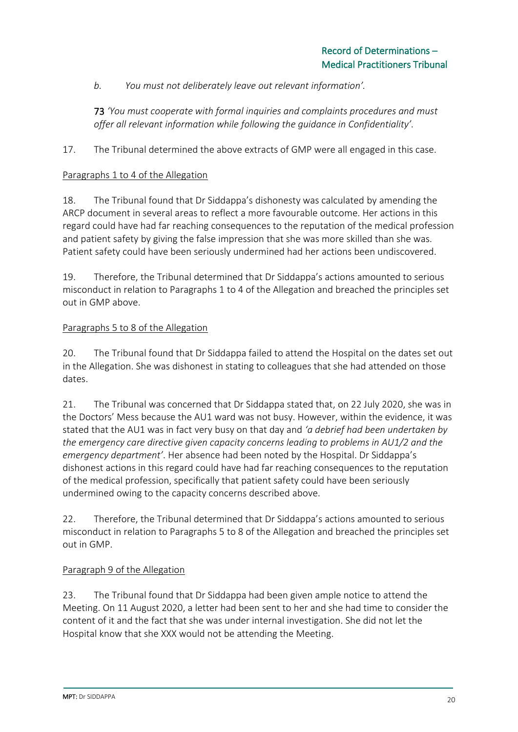*b. You must not deliberately leave out relevant information'.*

73 *'You must cooperate with formal inquiries and complaints procedures and must offer all relevant information while following the guidance in Confidentiality'.*

17. The Tribunal determined the above extracts of GMP were all engaged in this case.

### Paragraphs 1 to 4 of the Allegation

18. The Tribunal found that Dr Siddappa's dishonesty was calculated by amending the ARCP document in several areas to reflect a more favourable outcome. Her actions in this regard could have had far reaching consequences to the reputation of the medical profession and patient safety by giving the false impression that she was more skilled than she was. Patient safety could have been seriously undermined had her actions been undiscovered.

19. Therefore, the Tribunal determined that Dr Siddappa's actions amounted to serious misconduct in relation to Paragraphs 1 to 4 of the Allegation and breached the principles set out in GMP above.

### Paragraphs 5 to 8 of the Allegation

20. The Tribunal found that Dr Siddappa failed to attend the Hospital on the dates set out in the Allegation. She was dishonest in stating to colleagues that she had attended on those dates.

21. The Tribunal was concerned that Dr Siddappa stated that, on 22 July 2020, she was in the Doctors' Mess because the AU1 ward was not busy. However, within the evidence, it was stated that the AU1 was in fact very busy on that day and *'a debrief had been undertaken by the emergency care directive given capacity concerns leading to problems in AU1/2 and the emergency department'*. Her absence had been noted by the Hospital. Dr Siddappa's dishonest actions in this regard could have had far reaching consequences to the reputation of the medical profession, specifically that patient safety could have been seriously undermined owing to the capacity concerns described above.

22. Therefore, the Tribunal determined that Dr Siddappa's actions amounted to serious misconduct in relation to Paragraphs 5 to 8 of the Allegation and breached the principles set out in GMP.

### Paragraph 9 of the Allegation

23. The Tribunal found that Dr Siddappa had been given ample notice to attend the Meeting. On 11 August 2020, a letter had been sent to her and she had time to consider the content of it and the fact that she was under internal investigation. She did not let the Hospital know that she XXX would not be attending the Meeting.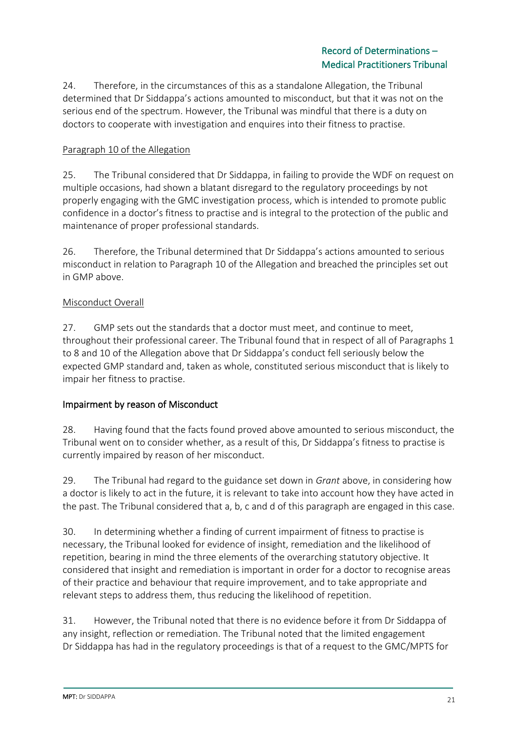24. Therefore, in the circumstances of this as a standalone Allegation, the Tribunal determined that Dr Siddappa's actions amounted to misconduct, but that it was not on the serious end of the spectrum. However, the Tribunal was mindful that there is a duty on doctors to cooperate with investigation and enquires into their fitness to practise.

# Paragraph 10 of the Allegation

25. The Tribunal considered that Dr Siddappa, in failing to provide the WDF on request on multiple occasions, had shown a blatant disregard to the regulatory proceedings by not properly engaging with the GMC investigation process, which is intended to promote public confidence in a doctor's fitness to practise and is integral to the protection of the public and maintenance of proper professional standards.

26. Therefore, the Tribunal determined that Dr Siddappa's actions amounted to serious misconduct in relation to Paragraph 10 of the Allegation and breached the principles set out in GMP above.

### Misconduct Overall

27. GMP sets out the standards that a doctor must meet, and continue to meet, throughout their professional career. The Tribunal found that in respect of all of Paragraphs 1 to 8 and 10 of the Allegation above that Dr Siddappa's conduct fell seriously below the expected GMP standard and, taken as whole, constituted serious misconduct that is likely to impair her fitness to practise.

### Impairment by reason of Misconduct

28. Having found that the facts found proved above amounted to serious misconduct, the Tribunal went on to consider whether, as a result of this, Dr Siddappa's fitness to practise is currently impaired by reason of her misconduct.

29. The Tribunal had regard to the guidance set down in *Grant* above, in considering how a doctor is likely to act in the future, it is relevant to take into account how they have acted in the past. The Tribunal considered that a, b, c and d of this paragraph are engaged in this case.

30. In determining whether a finding of current impairment of fitness to practise is necessary, the Tribunal looked for evidence of insight, remediation and the likelihood of repetition, bearing in mind the three elements of the overarching statutory objective. It considered that insight and remediation is important in order for a doctor to recognise areas of their practice and behaviour that require improvement, and to take appropriate and relevant steps to address them, thus reducing the likelihood of repetition.

31. However, the Tribunal noted that there is no evidence before it from Dr Siddappa of any insight, reflection or remediation. The Tribunal noted that the limited engagement Dr Siddappa has had in the regulatory proceedings is that of a request to the GMC/MPTS for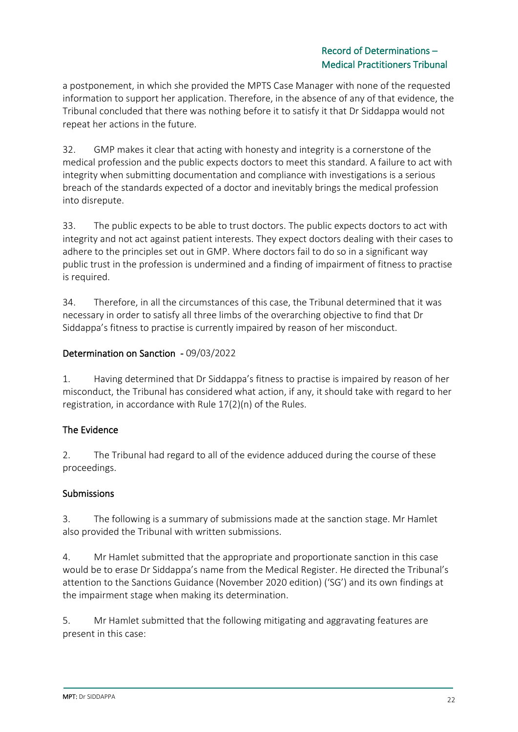# Record of Determinations – Medical Practitioners Tribunal

a postponement, in which she provided the MPTS Case Manager with none of the requested information to support her application. Therefore, in the absence of any of that evidence, the Tribunal concluded that there was nothing before it to satisfy it that Dr Siddappa would not repeat her actions in the future.

32. GMP makes it clear that acting with honesty and integrity is a cornerstone of the medical profession and the public expects doctors to meet this standard. A failure to act with integrity when submitting documentation and compliance with investigations is a serious breach of the standards expected of a doctor and inevitably brings the medical profession into disrepute.

33. The public expects to be able to trust doctors. The public expects doctors to act with integrity and not act against patient interests. They expect doctors dealing with their cases to adhere to the principles set out in GMP. Where doctors fail to do so in a significant way public trust in the profession is undermined and a finding of impairment of fitness to practise is required.

34. Therefore, in all the circumstances of this case, the Tribunal determined that it was necessary in order to satisfy all three limbs of the overarching objective to find that Dr Siddappa's fitness to practise is currently impaired by reason of her misconduct.

# Determination on Sanction - 09/03/2022

1. Having determined that Dr Siddappa's fitness to practise is impaired by reason of her misconduct, the Tribunal has considered what action, if any, it should take with regard to her registration, in accordance with Rule 17(2)(n) of the Rules.

# The Evidence

2. The Tribunal had regard to all of the evidence adduced during the course of these proceedings.

# Submissions

3. The following is a summary of submissions made at the sanction stage. Mr Hamlet also provided the Tribunal with written submissions.

4. Mr Hamlet submitted that the appropriate and proportionate sanction in this case would be to erase Dr Siddappa's name from the Medical Register. He directed the Tribunal's attention to the Sanctions Guidance (November 2020 edition) ('SG') and its own findings at the impairment stage when making its determination.

5. Mr Hamlet submitted that the following mitigating and aggravating features are present in this case: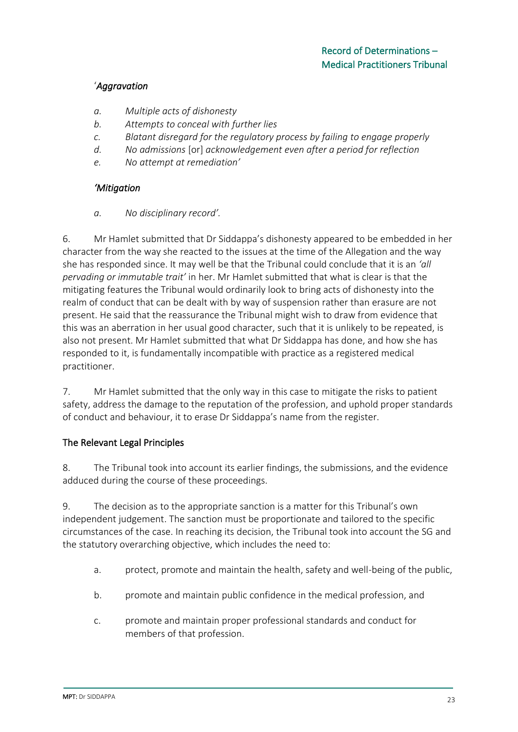# '*Aggravation*

- *a. Multiple acts of dishonesty*
- *b. Attempts to conceal with further lies*
- *c. Blatant disregard for the regulatory process by failing to engage properly*
- *d. No admissions* [or] *acknowledgement even after a period for reflection*
- *e. No attempt at remediation'*

# *'Mitigation*

### *a. No disciplinary record'.*

6. Mr Hamlet submitted that Dr Siddappa's dishonesty appeared to be embedded in her character from the way she reacted to the issues at the time of the Allegation and the way she has responded since. It may well be that the Tribunal could conclude that it is an *'all pervading or immutable trait'* in her. Mr Hamlet submitted that what is clear is that the mitigating features the Tribunal would ordinarily look to bring acts of dishonesty into the realm of conduct that can be dealt with by way of suspension rather than erasure are not present. He said that the reassurance the Tribunal might wish to draw from evidence that this was an aberration in her usual good character, such that it is unlikely to be repeated, is also not present. Mr Hamlet submitted that what Dr Siddappa has done, and how she has responded to it, is fundamentally incompatible with practice as a registered medical practitioner.

7. Mr Hamlet submitted that the only way in this case to mitigate the risks to patient safety, address the damage to the reputation of the profession, and uphold proper standards of conduct and behaviour, it to erase Dr Siddappa's name from the register.

# The Relevant Legal Principles

8. The Tribunal took into account its earlier findings, the submissions, and the evidence adduced during the course of these proceedings.

9. The decision as to the appropriate sanction is a matter for this Tribunal's own independent judgement. The sanction must be proportionate and tailored to the specific circumstances of the case. In reaching its decision, the Tribunal took into account the SG and the statutory overarching objective, which includes the need to:

- a. protect, promote and maintain the health, safety and well-being of the public,
- b. promote and maintain public confidence in the medical profession, and
- c. promote and maintain proper professional standards and conduct for members of that profession.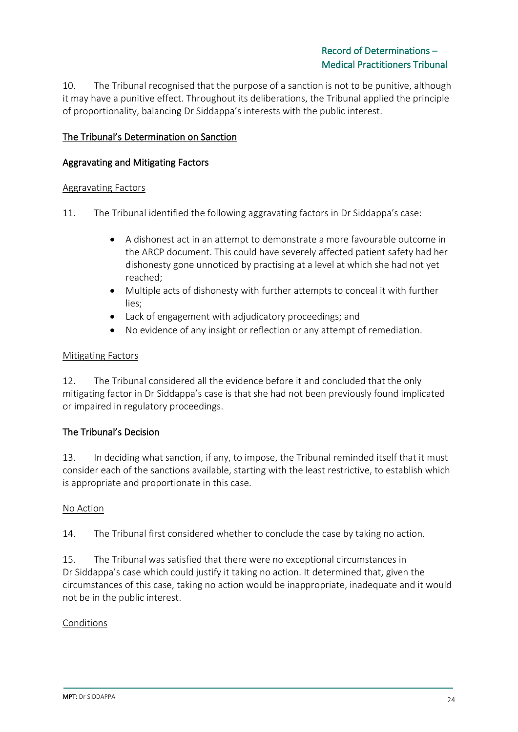10. The Tribunal recognised that the purpose of a sanction is not to be punitive, although it may have a punitive effect. Throughout its deliberations, the Tribunal applied the principle of proportionality, balancing Dr Siddappa's interests with the public interest.

# The Tribunal's Determination on Sanction

### Aggravating and Mitigating Factors

#### Aggravating Factors

- 11. The Tribunal identified the following aggravating factors in Dr Siddappa's case:
	- A dishonest act in an attempt to demonstrate a more favourable outcome in the ARCP document. This could have severely affected patient safety had her dishonesty gone unnoticed by practising at a level at which she had not yet reached;
	- Multiple acts of dishonesty with further attempts to conceal it with further lies;
	- Lack of engagement with adjudicatory proceedings; and
	- No evidence of any insight or reflection or any attempt of remediation.

#### Mitigating Factors

12. The Tribunal considered all the evidence before it and concluded that the only mitigating factor in Dr Siddappa's case is that she had not been previously found implicated or impaired in regulatory proceedings.

### The Tribunal's Decision

13. In deciding what sanction, if any, to impose, the Tribunal reminded itself that it must consider each of the sanctions available, starting with the least restrictive, to establish which is appropriate and proportionate in this case.

#### No Action

14. The Tribunal first considered whether to conclude the case by taking no action.

15. The Tribunal was satisfied that there were no exceptional circumstances in Dr Siddappa's case which could justify it taking no action. It determined that, given the circumstances of this case, taking no action would be inappropriate, inadequate and it would not be in the public interest.

### Conditions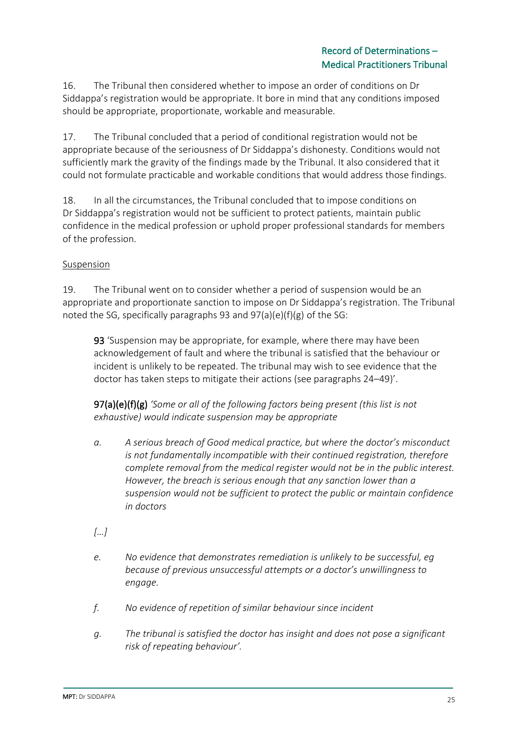16. The Tribunal then considered whether to impose an order of conditions on Dr Siddappa's registration would be appropriate. It bore in mind that any conditions imposed should be appropriate, proportionate, workable and measurable.

17. The Tribunal concluded that a period of conditional registration would not be appropriate because of the seriousness of Dr Siddappa's dishonesty. Conditions would not sufficiently mark the gravity of the findings made by the Tribunal. It also considered that it could not formulate practicable and workable conditions that would address those findings.

18. In all the circumstances, the Tribunal concluded that to impose conditions on Dr Siddappa's registration would not be sufficient to protect patients, maintain public confidence in the medical profession or uphold proper professional standards for members of the profession.

# Suspension

19. The Tribunal went on to consider whether a period of suspension would be an appropriate and proportionate sanction to impose on Dr Siddappa's registration. The Tribunal noted the SG, specifically paragraphs 93 and 97(a)(e)(f)(g) of the SG:

93 'Suspension may be appropriate, for example, where there may have been acknowledgement of fault and where the tribunal is satisfied that the behaviour or incident is unlikely to be repeated. The tribunal may wish to see evidence that the doctor has taken steps to mitigate their actions (see paragraphs 24–49)'.

97(a)(e)(f)(g) *'Some or all of the following factors being present (this list is not exhaustive) would indicate suspension may be appropriate*

- *a. A serious breach of Good medical practice, but where the doctor's misconduct is not fundamentally incompatible with their continued registration, therefore complete removal from the medical register would not be in the public interest. However, the breach is serious enough that any sanction lower than a suspension would not be sufficient to protect the public or maintain confidence in doctors*
- *[…]*
- *e. No evidence that demonstrates remediation is unlikely to be successful, eg because of previous unsuccessful attempts or a doctor's unwillingness to engage.*
- *f. No evidence of repetition of similar behaviour since incident*
- *g. The tribunal is satisfied the doctor has insight and does not pose a significant risk of repeating behaviour'.*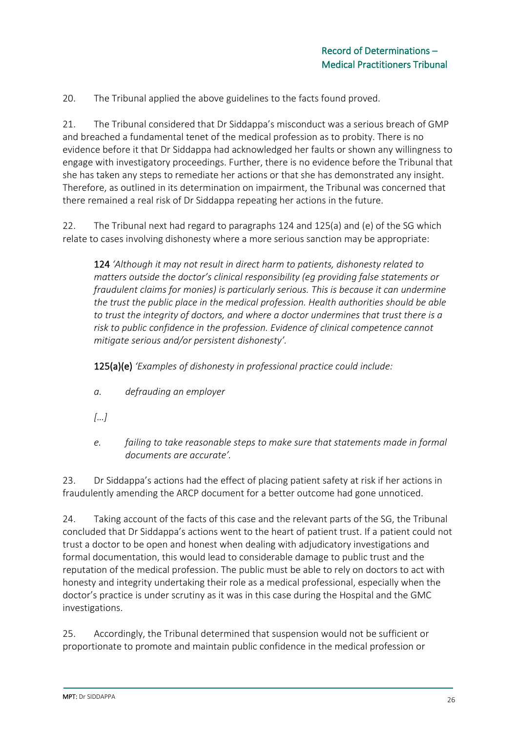20. The Tribunal applied the above guidelines to the facts found proved.

21. The Tribunal considered that Dr Siddappa's misconduct was a serious breach of GMP and breached a fundamental tenet of the medical profession as to probity. There is no evidence before it that Dr Siddappa had acknowledged her faults or shown any willingness to engage with investigatory proceedings. Further, there is no evidence before the Tribunal that she has taken any steps to remediate her actions or that she has demonstrated any insight. Therefore, as outlined in its determination on impairment, the Tribunal was concerned that there remained a real risk of Dr Siddappa repeating her actions in the future.

22. The Tribunal next had regard to paragraphs 124 and 125(a) and (e) of the SG which relate to cases involving dishonesty where a more serious sanction may be appropriate:

124 *'Although it may not result in direct harm to patients, dishonesty related to matters outside the doctor's clinical responsibility (eg providing false statements or fraudulent claims for monies) is particularly serious. This is because it can undermine the trust the public place in the medical profession. Health authorities should be able to trust the integrity of doctors, and where a doctor undermines that trust there is a risk to public confidence in the profession. Evidence of clinical competence cannot mitigate serious and/or persistent dishonesty'.*

125(a)(e) *'Examples of dishonesty in professional practice could include:*

- *a. defrauding an employer*
- *[…]*
- *e. failing to take reasonable steps to make sure that statements made in formal documents are accurate'.*

23. Dr Siddappa's actions had the effect of placing patient safety at risk if her actions in fraudulently amending the ARCP document for a better outcome had gone unnoticed.

24. Taking account of the facts of this case and the relevant parts of the SG, the Tribunal concluded that Dr Siddappa's actions went to the heart of patient trust. If a patient could not trust a doctor to be open and honest when dealing with adjudicatory investigations and formal documentation, this would lead to considerable damage to public trust and the reputation of the medical profession. The public must be able to rely on doctors to act with honesty and integrity undertaking their role as a medical professional, especially when the doctor's practice is under scrutiny as it was in this case during the Hospital and the GMC investigations.

25. Accordingly, the Tribunal determined that suspension would not be sufficient or proportionate to promote and maintain public confidence in the medical profession or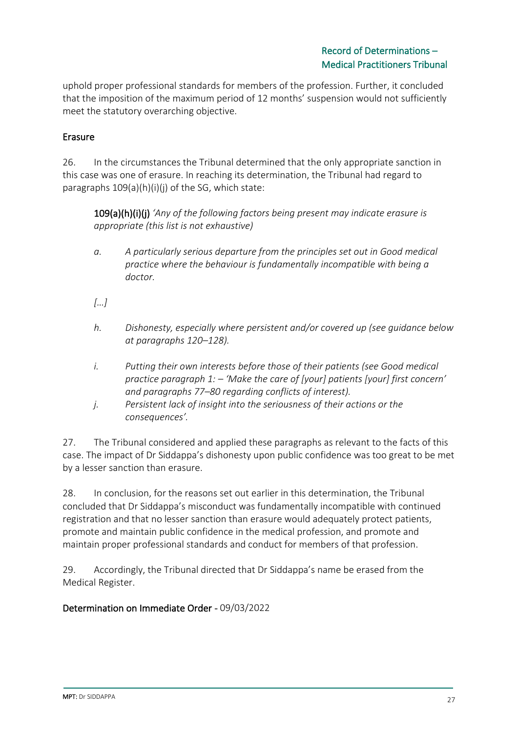uphold proper professional standards for members of the profession. Further, it concluded that the imposition of the maximum period of 12 months' suspension would not sufficiently meet the statutory overarching objective.

# Erasure

26. In the circumstances the Tribunal determined that the only appropriate sanction in this case was one of erasure. In reaching its determination, the Tribunal had regard to paragraphs 109(a)(h)(i)(j) of the SG, which state:

109(a)(h)(i)(j) *'Any of the following factors being present may indicate erasure is appropriate (this list is not exhaustive)*

- *a. A particularly serious departure from the principles set out in Good medical practice where the behaviour is fundamentally incompatible with being a doctor.*
- *[…]*
- *h. Dishonesty, especially where persistent and/or covered up (see guidance below at paragraphs 120–128).*
- *i. Putting their own interests before those of their patients (see Good medical practice paragraph 1: – 'Make the care of [your] patients [your] first concern' and paragraphs 77–80 regarding conflicts of interest).*
- *j. Persistent lack of insight into the seriousness of their actions or the consequences'.*

27. The Tribunal considered and applied these paragraphs as relevant to the facts of this case. The impact of Dr Siddappa's dishonesty upon public confidence was too great to be met by a lesser sanction than erasure.

28. In conclusion, for the reasons set out earlier in this determination, the Tribunal concluded that Dr Siddappa's misconduct was fundamentally incompatible with continued registration and that no lesser sanction than erasure would adequately protect patients, promote and maintain public confidence in the medical profession, and promote and maintain proper professional standards and conduct for members of that profession.

29. Accordingly, the Tribunal directed that Dr Siddappa's name be erased from the Medical Register.

### Determination on Immediate Order - 09/03/2022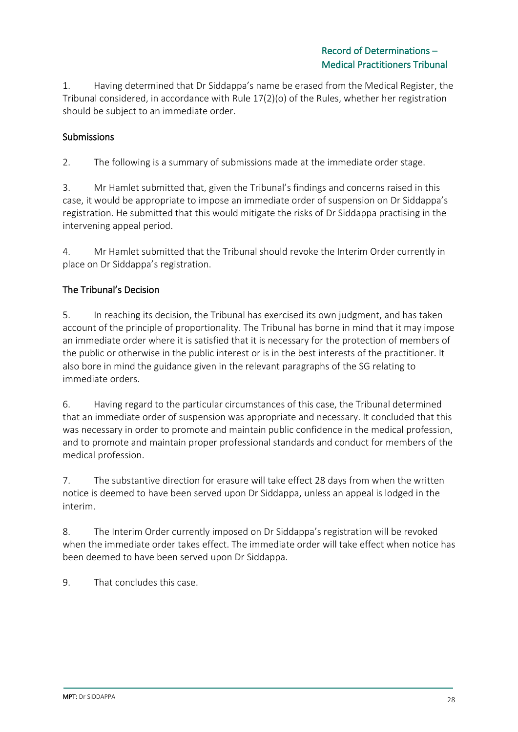1. Having determined that Dr Siddappa's name be erased from the Medical Register, the Tribunal considered, in accordance with Rule 17(2)(o) of the Rules, whether her registration should be subject to an immediate order.

# **Submissions**

2. The following is a summary of submissions made at the immediate order stage.

3. Mr Hamlet submitted that, given the Tribunal's findings and concerns raised in this case, it would be appropriate to impose an immediate order of suspension on Dr Siddappa's registration. He submitted that this would mitigate the risks of Dr Siddappa practising in the intervening appeal period.

4. Mr Hamlet submitted that the Tribunal should revoke the Interim Order currently in place on Dr Siddappa's registration.

# The Tribunal's Decision

5. In reaching its decision, the Tribunal has exercised its own judgment, and has taken account of the principle of proportionality. The Tribunal has borne in mind that it may impose an immediate order where it is satisfied that it is necessary for the protection of members of the public or otherwise in the public interest or is in the best interests of the practitioner. It also bore in mind the guidance given in the relevant paragraphs of the SG relating to immediate orders.

6. Having regard to the particular circumstances of this case, the Tribunal determined that an immediate order of suspension was appropriate and necessary. It concluded that this was necessary in order to promote and maintain public confidence in the medical profession, and to promote and maintain proper professional standards and conduct for members of the medical profession.

7. The substantive direction for erasure will take effect 28 days from when the written notice is deemed to have been served upon Dr Siddappa, unless an appeal is lodged in the interim.

8. The Interim Order currently imposed on Dr Siddappa's registration will be revoked when the immediate order takes effect. The immediate order will take effect when notice has been deemed to have been served upon Dr Siddappa.

9. That concludes this case.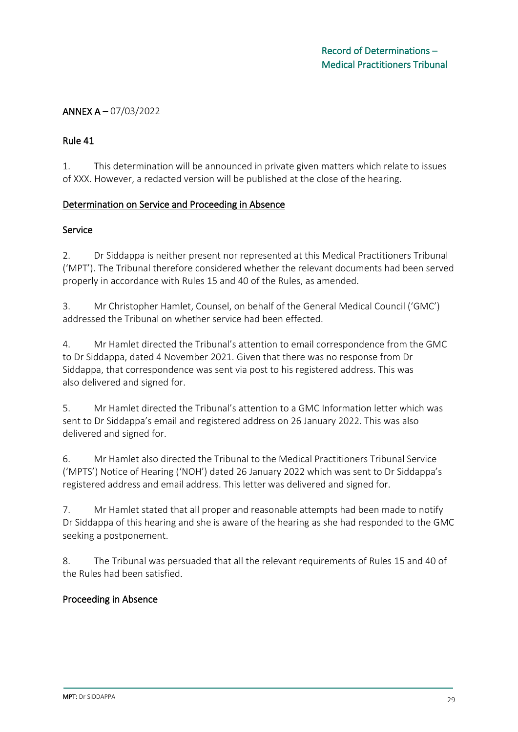# ANNEX A – 07/03/2022

### Rule 41

1. This determination will be announced in private given matters which relate to issues of XXX. However, a redacted version will be published at the close of the hearing.

### Determination on Service and Proceeding in Absence

#### Service

2. Dr Siddappa is neither present nor represented at this Medical Practitioners Tribunal ('MPT'). The Tribunal therefore considered whether the relevant documents had been served properly in accordance with Rules 15 and 40 of the Rules, as amended.

3. Mr Christopher Hamlet, Counsel, on behalf of the General Medical Council ('GMC') addressed the Tribunal on whether service had been effected.

4. Mr Hamlet directed the Tribunal's attention to email correspondence from the GMC to Dr Siddappa, dated 4 November 2021. Given that there was no response from Dr Siddappa, that correspondence was sent via post to his registered address. This was also delivered and signed for.

5. Mr Hamlet directed the Tribunal's attention to a GMC Information letter which was sent to Dr Siddappa's email and registered address on 26 January 2022. This was also delivered and signed for.

6. Mr Hamlet also directed the Tribunal to the Medical Practitioners Tribunal Service ('MPTS') Notice of Hearing ('NOH') dated 26 January 2022 which was sent to Dr Siddappa's registered address and email address. This letter was delivered and signed for.

7. Mr Hamlet stated that all proper and reasonable attempts had been made to notify Dr Siddappa of this hearing and she is aware of the hearing as she had responded to the GMC seeking a postponement.

8. The Tribunal was persuaded that all the relevant requirements of Rules 15 and 40 of the Rules had been satisfied.

### Proceeding in Absence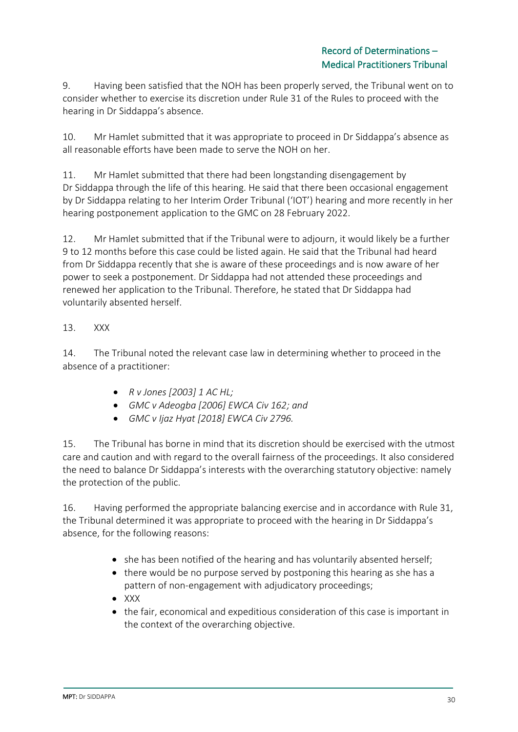9. Having been satisfied that the NOH has been properly served, the Tribunal went on to consider whether to exercise its discretion under Rule 31 of the Rules to proceed with the hearing in Dr Siddappa's absence.

10. Mr Hamlet submitted that it was appropriate to proceed in Dr Siddappa's absence as all reasonable efforts have been made to serve the NOH on her.

11. Mr Hamlet submitted that there had been longstanding disengagement by Dr Siddappa through the life of this hearing. He said that there been occasional engagement by Dr Siddappa relating to her Interim Order Tribunal ('IOT') hearing and more recently in her hearing postponement application to the GMC on 28 February 2022.

12. Mr Hamlet submitted that if the Tribunal were to adjourn, it would likely be a further 9 to 12 months before this case could be listed again. He said that the Tribunal had heard from Dr Siddappa recently that she is aware of these proceedings and is now aware of her power to seek a postponement. Dr Siddappa had not attended these proceedings and renewed her application to the Tribunal. Therefore, he stated that Dr Siddappa had voluntarily absented herself.

# 13. XXX

14. The Tribunal noted the relevant case law in determining whether to proceed in the absence of a practitioner:

- *R v Jones [2003] 1 AC HL;*
- *GMC v Adeogba [2006] EWCA Civ 162; and*
- *GMC v Ijaz Hyat [2018] EWCA Civ 2796.*

15. The Tribunal has borne in mind that its discretion should be exercised with the utmost care and caution and with regard to the overall fairness of the proceedings. It also considered the need to balance Dr Siddappa's interests with the overarching statutory objective: namely the protection of the public.

16. Having performed the appropriate balancing exercise and in accordance with Rule 31, the Tribunal determined it was appropriate to proceed with the hearing in Dr Siddappa's absence, for the following reasons:

- she has been notified of the hearing and has voluntarily absented herself;
- there would be no purpose served by postponing this hearing as she has a pattern of non-engagement with adjudicatory proceedings;
- XXX
- the fair, economical and expeditious consideration of this case is important in the context of the overarching objective.